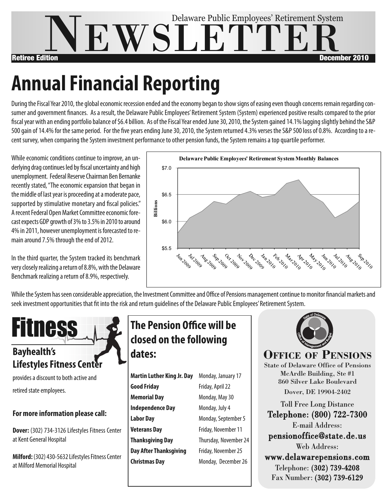

### **Annual Financial Reporting** remain around 7.5% through the end of 2012.

.<br>During the Fiscal Year 2010, the global economic recession ended and the economy began to show signs of easing even though concerns remain regarding consumer and government finances. As a result, the Delaware Public Employees' Retirement System (System) experienced positive results compared to the prior fiscal year with an ending portfolio balance of \$6.4 billion. As of the Fiscal Year ended June 30, 2010, the System gained 14.1% lagging slightly behind the S&P 500 gain of 14.4% for the same period. For the five years ending June 30, 2010, the System returned 4.3% verses the S&P 500 loss of 0.8%. According to a recent survey, when comparing the System investment performance to other pension funds, the System remains a top quartile performer. ended and the economy began to snow signs of easing even thoug riding June 30, 2010, the System returned 4.3% verses the S&P SOO 103S OF 0.0%. Accor

While economic conditions continue to improve, an underlying drag continues led by fiscal uncertainty and high unemployment. Federal Reserve Chairman Ben Bernanke recently stated, "The economic expansion that began in the middle of last year is proceeding at a moderate pace, supported by stimulative monetary and fiscal policies." A recent Federal Open Market Committee economic forecast expects GDP growth of 3% to 3.5% in 2010 to around 4% in 2011, however unemployment is forecasted to remain around 7.5% through the end of 2012.

In the third quarter, the System tracked its benchmark very closely realizing a return of 8.8%, with the Delaware Benchmark realizing a return of 8.9%, respectively.



While the System has seen considerable appreciation, the Investment Committee and Office of Pensions management continue to monitor financial markets and seek investment opportunities that fit into the risk and return quidelines of the Delaware Public Employees' Retirement System.



## **Lifestyles Fitness Center**

provides a discount to both active and retired state employees.

#### **Formore information please call:**

**Dover:** (302) 734-3126 Lifestyles Fitness Center at Kent General Hospital

**Milford:** (302) 430-5632 Lifestyles Fitness Center at Milford Memorial Hospital

### **The Pension Office will be closed on the following dates:**

| <b>Martin Luther King Jr. Day</b> | Monday, January 17    |  |
|-----------------------------------|-----------------------|--|
| <b>Good Friday</b>                | Friday, April 22      |  |
| <b>Memorial Day</b>               | Monday, May 30        |  |
| <b>Independence Day</b>           | Monday, July 4        |  |
| <b>Labor Day</b>                  | Monday, September 5   |  |
| <b>Veterans Day</b>               | Friday, November 11   |  |
| <b>Thanksgiving Day</b>           | Thursday, November 24 |  |
| <b>Day After Thanksgiving</b>     | Friday, November 25   |  |
| <b>Christmas Day</b>              | Monday, December 26   |  |



### **OFFICE OF PENSIONS**

State of Delaware Office of Pensions McArdle Building, Ste #1 860 Silver Lake Boulevard Dover, DE 19904-2402

Toll Free Long Distance Telephone: (800) 722-7300 E-mail Address: pensionoffice@state.de.us Web Address: www.delawarepensions.com Telephone: (302) 739-4208 Fax Number: (302) 739-6129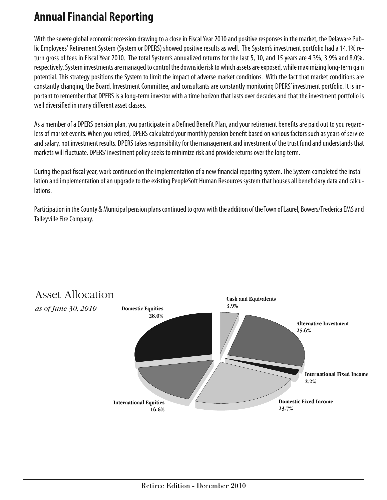## **AnnualFinancial Reporting**

With the severe global economic recession drawing to a close in Fiscal Year 2010 and positive responses in the market, the Delaware Public Employees' Retirement System (System or DPERS) showed positive results as well. The System's investment portfolio had a 14.1% return gross of fees in Fiscal Year 2010. The total System's annualized returns for the last 5, 10, and 15 years are 4.3%, 3.9% and 8.0%, respectively. System investments are managed to control the downside risk to which assets are exposed, while maximizing long-term gain potential. This strategy positions the System to limit the impact of adverse market conditions. With the fact that market conditions are constantly changing, the Board, Investment Committee, and consultants are constantly monitoring DPERS' investment portfolio. It is important to remember that DPERS is a long-term investor with a time horizon that lasts over decades and that the investment portfolio is well diversified in many different asset classes.

As a member of a DPERS pension plan, you participate in a Defined Benefit Plan, and your retirement benefits are paid out to you regardless of market events. When you retired, DPERS calculated your monthly pension benefit based on various factors such as years of service and salary, not investment results. DPERS takes responsibility for the management and investment of the trust fund and understands that markets will fluctuate. DPERS' investment policy seeks to minimize risk and provide returns over the long term.

During the past fiscal year, work continued on the implementation of a new financial reporting system. The System completed the installation and implementation of an upgrade to the existing PeopleSoft Human Resources system that houses all beneficiary data and calculations.

Participation in the County & Municipal pension plans continued to grow with the addition of the Town of Laurel, Bowers/Frederica EMS and Talleyville Fire Company.



## Asset Allocation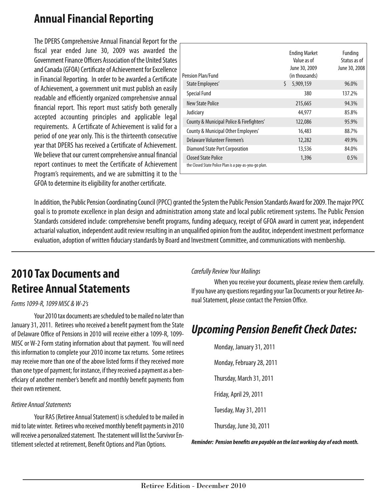## **AnnualFinancial Reporting**

The DPERS Comprehensive Annual Financial Report for the fiscal year ended June 30, 2009 was awarded the Government Finance Officers Association of the United States and Canada (GFOA) Certificate of Achievement for Excellence in Financial Reporting. In order to be awarded a Certificate of Achievement, a government unit must publish an easily readable and efficiently organized comprehensive annual financial report. This report must satisfy both generally accepted accounting principles and applicable legal requirements. A Certificate of Achievement is valid for a period of one year only.This is the thirteenth consecutive year that DPERS has received a Certificate of Achievement. We believe that our current comprehensive annual financial report continues to meet the Certificate of Achievement Program's requirements, and we are submitting it to the GFOA to determine its eligibility for another certificate.

| Pension Plan/Fund                                                                   | <b>Ending Market</b><br>Value as of<br>June 30, 2009<br>(in thousands) | Funding<br>Status as of<br>June 30, 2008 |
|-------------------------------------------------------------------------------------|------------------------------------------------------------------------|------------------------------------------|
| State Employees'                                                                    | Ś.<br>5,909,159                                                        | 96.0%                                    |
| <b>Special Fund</b>                                                                 | 380                                                                    | 137.2%                                   |
| New State Police                                                                    | 215,665                                                                | 94.3%                                    |
| Judiciary                                                                           | 44.977                                                                 | 85.8%                                    |
| County & Municipal Police & Firefighters'                                           | 122,086                                                                | 95.9%                                    |
| County & Municipal Other Employees'                                                 | 16,483                                                                 | 88.7%                                    |
| Delaware Volunteer Firemen's                                                        | 12,282                                                                 | 49.9%                                    |
| Diamond State Port Corporation                                                      | 13,536                                                                 | 84.0%                                    |
| <b>Closed State Police</b><br>the Closed State Police Plan is a pay-as-you-go plan. | 1,396                                                                  | 0.5%                                     |

In addition, the Public Pension Coordinating Council (PPCC) granted the System the Public Pension Standards Award for 2009. The major PPCC goal is to promote excellence in plan design and administration among state and local public retirement systems.The Public Pension Standards considered include: comprehensive benefit programs, funding adequacy, receipt of GFOA award in current year, independent actuarial valuation, independent audit review resulting in an unqualified opinion from the auditor, independent investment performance evaluation, adoption of written fiduciary standards by Board and Investment Committee, and communications with membership.

## **2010 Tax Documents and Retiree AnnualStatements**

#### *Forms1099-R,1099 MISC &W-2's*

Your 2010 tax documents are scheduled to be mailed no later than January 31, 2011. Retirees who received a benefit payment from the State of Delaware Office of Pensions in 2010 will receive either a 1099-R, 1099-MISC or W-2 Form stating information about that payment. You will need this information to complete your 2010 income tax returns. Some retirees may receive more than one of the above listed forms if they received more than one type of payment; for instance, if they received a payment as a beneficiary of another member's benefit and monthly benefit payments from their own retirement.

#### *Retiree AnnualStatements*

Your RAS (Retiree Annual Statement) is scheduled to be mailed in mid to late winter. Retirees who received monthly benefit payments in 2010 will receive a personalized statement. The statement will list the Survivor Entitlement selected at retirement, Benefit Options and Plan Options.

#### *CarefullyReview Your Mailings*

When you receive your documents, please review them carefully. If you have any questions regarding your Tax Documents or your Retiree Annual Statement, please contact the Pension Office.

## *Upcoming Pension BenefitCheck Dates:*

Monday, January 31, 2011 Monday, February 28, 2011 Thursday, March 31,2011 Friday, April29,2011 Tuesday, May31,2011 Thursday, June30,2011

*Reminder: Pension benefits are payable on thelastworking day ofeachmonth.*